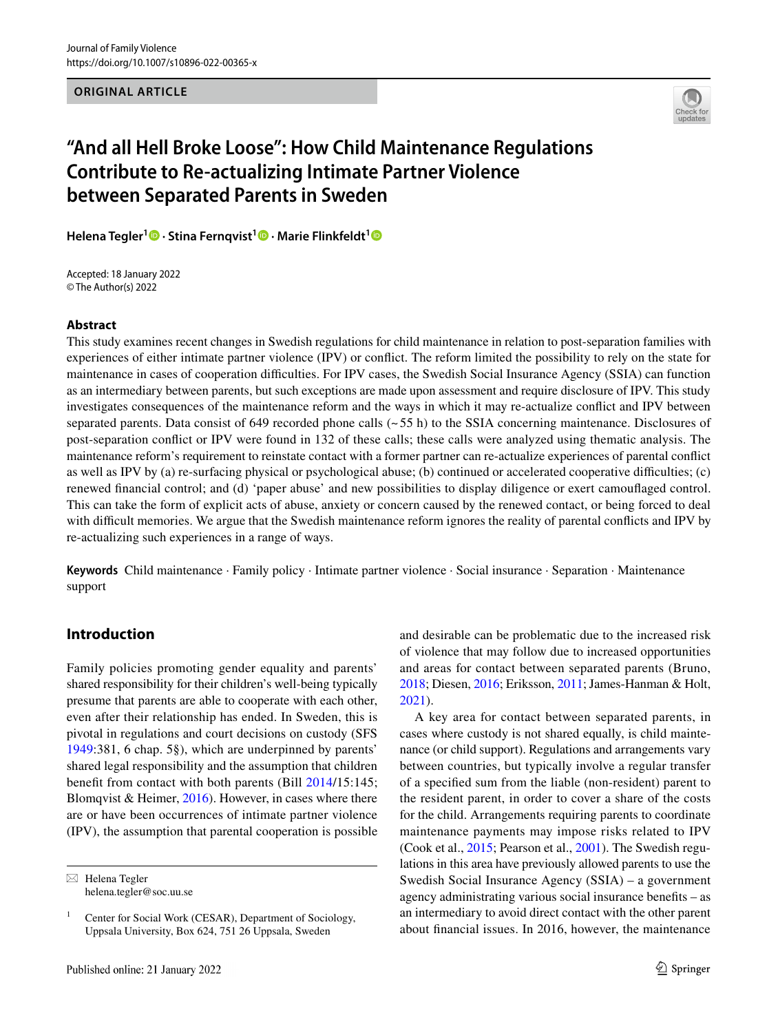**ORIGINAL ARTICLE**



# **"And all Hell Broke Loose": How Child Maintenance Regulations Contribute to Re‑actualizing Intimate Partner Violence between Separated Parents in Sweden**

**Helena Tegler<sup>1</sup> · Stina Fernqvist1  [·](http://orcid.org/0000-0002-6504-0877) Marie Flinkfeldt[1](http://orcid.org/0000-0003-1751-1918)**

Accepted: 18 January 2022 © The Author(s) 2022

#### **Abstract**

This study examines recent changes in Swedish regulations for child maintenance in relation to post-separation families with experiences of either intimate partner violence (IPV) or confict. The reform limited the possibility to rely on the state for maintenance in cases of cooperation difficulties. For IPV cases, the Swedish Social Insurance Agency (SSIA) can function as an intermediary between parents, but such exceptions are made upon assessment and require disclosure of IPV. This study investigates consequences of the maintenance reform and the ways in which it may re-actualize confict and IPV between separated parents. Data consist of 649 recorded phone calls  $(-55 h)$  to the SSIA concerning maintenance. Disclosures of post-separation confict or IPV were found in 132 of these calls; these calls were analyzed using thematic analysis. The maintenance reform's requirement to reinstate contact with a former partner can re-actualize experiences of parental confict as well as IPV by (a) re-surfacing physical or psychological abuse; (b) continued or accelerated cooperative difculties; (c) renewed fnancial control; and (d) 'paper abuse' and new possibilities to display diligence or exert camoufaged control. This can take the form of explicit acts of abuse, anxiety or concern caused by the renewed contact, or being forced to deal with difficult memories. We argue that the Swedish maintenance reform ignores the reality of parental conflicts and IPV by re-actualizing such experiences in a range of ways.

**Keywords** Child maintenance · Family policy · Intimate partner violence · Social insurance · Separation · Maintenance support

## **Introduction**

Family policies promoting gender equality and parents' shared responsibility for their children's well-being typically presume that parents are able to cooperate with each other, even after their relationship has ended. In Sweden, this is pivotal in regulations and court decisions on custody (SFS [1949](#page-11-0):381, 6 chap. 5§), which are underpinned by parents' shared legal responsibility and the assumption that children beneft from contact with both parents (Bill [2014](#page-10-0)/15:145; Blomqvist & Heimer, [2016\)](#page-10-1). However, in cases where there are or have been occurrences of intimate partner violence (IPV), the assumption that parental cooperation is possible and desirable can be problematic due to the increased risk of violence that may follow due to increased opportunities and areas for contact between separated parents (Bruno, [2018;](#page-10-2) Diesen, [2016;](#page-10-3) Eriksson, [2011;](#page-10-4) James-Hanman & Holt, [2021](#page-10-5)).

A key area for contact between separated parents, in cases where custody is not shared equally, is child maintenance (or child support). Regulations and arrangements vary between countries, but typically involve a regular transfer of a specifed sum from the liable (non-resident) parent to the resident parent, in order to cover a share of the costs for the child. Arrangements requiring parents to coordinate maintenance payments may impose risks related to IPV (Cook et al., [2015;](#page-10-6) Pearson et al., [2001\)](#page-11-1). The Swedish regulations in this area have previously allowed parents to use the Swedish Social Insurance Agency (SSIA) – a government agency administrating various social insurance benefts – as an intermediary to avoid direct contact with the other parent about fnancial issues. In 2016, however, the maintenance

 $\boxtimes$  Helena Tegler helena.tegler@soc.uu.se

<sup>&</sup>lt;sup>1</sup> Center for Social Work (CESAR), Department of Sociology, Uppsala University, Box 624, 751 26 Uppsala, Sweden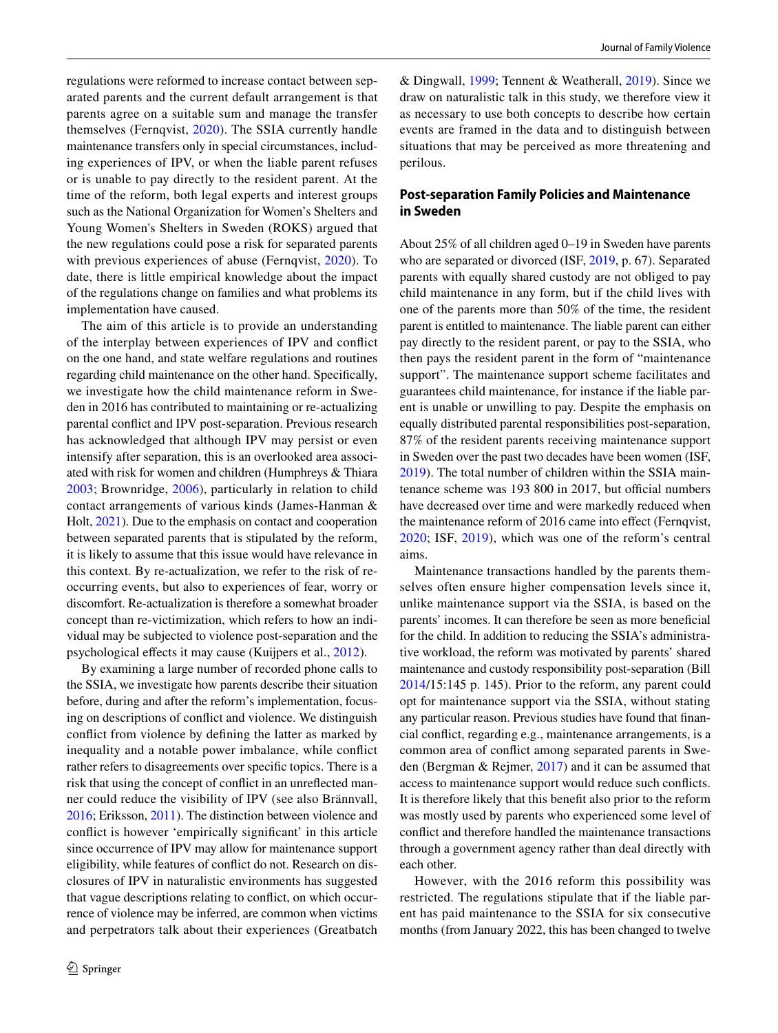regulations were reformed to increase contact between separated parents and the current default arrangement is that parents agree on a suitable sum and manage the transfer themselves (Fernqvist, [2020](#page-10-7)). The SSIA currently handle maintenance transfers only in special circumstances, including experiences of IPV, or when the liable parent refuses or is unable to pay directly to the resident parent. At the time of the reform, both legal experts and interest groups such as the National Organization for Women's Shelters and Young Women's Shelters in Sweden (ROKS) argued that the new regulations could pose a risk for separated parents with previous experiences of abuse (Fernqvist, [2020](#page-10-7)). To date, there is little empirical knowledge about the impact of the regulations change on families and what problems its implementation have caused.

The aim of this article is to provide an understanding of the interplay between experiences of IPV and confict on the one hand, and state welfare regulations and routines regarding child maintenance on the other hand. Specifcally, we investigate how the child maintenance reform in Sweden in 2016 has contributed to maintaining or re-actualizing parental confict and IPV post-separation. Previous research has acknowledged that although IPV may persist or even intensify after separation, this is an overlooked area associated with risk for women and children (Humphreys & Thiara [2003;](#page-10-8) Brownridge, [2006](#page-10-9)), particularly in relation to child contact arrangements of various kinds (James-Hanman & Holt, [2021](#page-10-5)). Due to the emphasis on contact and cooperation between separated parents that is stipulated by the reform, it is likely to assume that this issue would have relevance in this context. By re-actualization, we refer to the risk of reoccurring events, but also to experiences of fear, worry or discomfort. Re-actualization is therefore a somewhat broader concept than re-victimization, which refers to how an individual may be subjected to violence post-separation and the psychological efects it may cause (Kuijpers et al., [2012\)](#page-11-2).

By examining a large number of recorded phone calls to the SSIA, we investigate how parents describe their situation before, during and after the reform's implementation, focusing on descriptions of confict and violence. We distinguish confict from violence by defning the latter as marked by inequality and a notable power imbalance, while confict rather refers to disagreements over specifc topics. There is a risk that using the concept of confict in an unrefected manner could reduce the visibility of IPV (see also Brännvall, [2016;](#page-10-10) Eriksson, [2011](#page-10-4)). The distinction between violence and confict is however 'empirically signifcant' in this article since occurrence of IPV may allow for maintenance support eligibility, while features of confict do not. Research on disclosures of IPV in naturalistic environments has suggested that vague descriptions relating to confict, on which occurrence of violence may be inferred, are common when victims and perpetrators talk about their experiences (Greatbatch

& Dingwall, [1999](#page-10-11); Tennent & Weatherall, [2019](#page-11-3)). Since we draw on naturalistic talk in this study, we therefore view it as necessary to use both concepts to describe how certain events are framed in the data and to distinguish between situations that may be perceived as more threatening and perilous.

## **Post‑separation Family Policies and Maintenance in Sweden**

About 25% of all children aged 0–19 in Sweden have parents who are separated or divorced (ISF, [2019](#page-10-12), p. 67). Separated parents with equally shared custody are not obliged to pay child maintenance in any form, but if the child lives with one of the parents more than 50% of the time, the resident parent is entitled to maintenance. The liable parent can either pay directly to the resident parent, or pay to the SSIA, who then pays the resident parent in the form of "maintenance support". The maintenance support scheme facilitates and guarantees child maintenance, for instance if the liable parent is unable or unwilling to pay. Despite the emphasis on equally distributed parental responsibilities post-separation, 87% of the resident parents receiving maintenance support in Sweden over the past two decades have been women (ISF, [2019](#page-10-12)). The total number of children within the SSIA maintenance scheme was 193 800 in 2017, but official numbers have decreased over time and were markedly reduced when the maintenance reform of 2016 came into effect (Fernqvist, [2020;](#page-10-7) ISF, [2019](#page-10-12)), which was one of the reform's central aims.

Maintenance transactions handled by the parents themselves often ensure higher compensation levels since it, unlike maintenance support via the SSIA, is based on the parents' incomes. It can therefore be seen as more benefcial for the child. In addition to reducing the SSIA's administrative workload, the reform was motivated by parents' shared maintenance and custody responsibility post-separation (Bill [2014](#page-10-0)/15:145 p. 145). Prior to the reform, any parent could opt for maintenance support via the SSIA, without stating any particular reason. Previous studies have found that fnancial confict, regarding e.g., maintenance arrangements, is a common area of confict among separated parents in Sweden (Bergman & Rejmer, [2017](#page-10-13)) and it can be assumed that access to maintenance support would reduce such conficts. It is therefore likely that this beneft also prior to the reform was mostly used by parents who experienced some level of confict and therefore handled the maintenance transactions through a government agency rather than deal directly with each other.

However, with the 2016 reform this possibility was restricted. The regulations stipulate that if the liable parent has paid maintenance to the SSIA for six consecutive months (from January 2022, this has been changed to twelve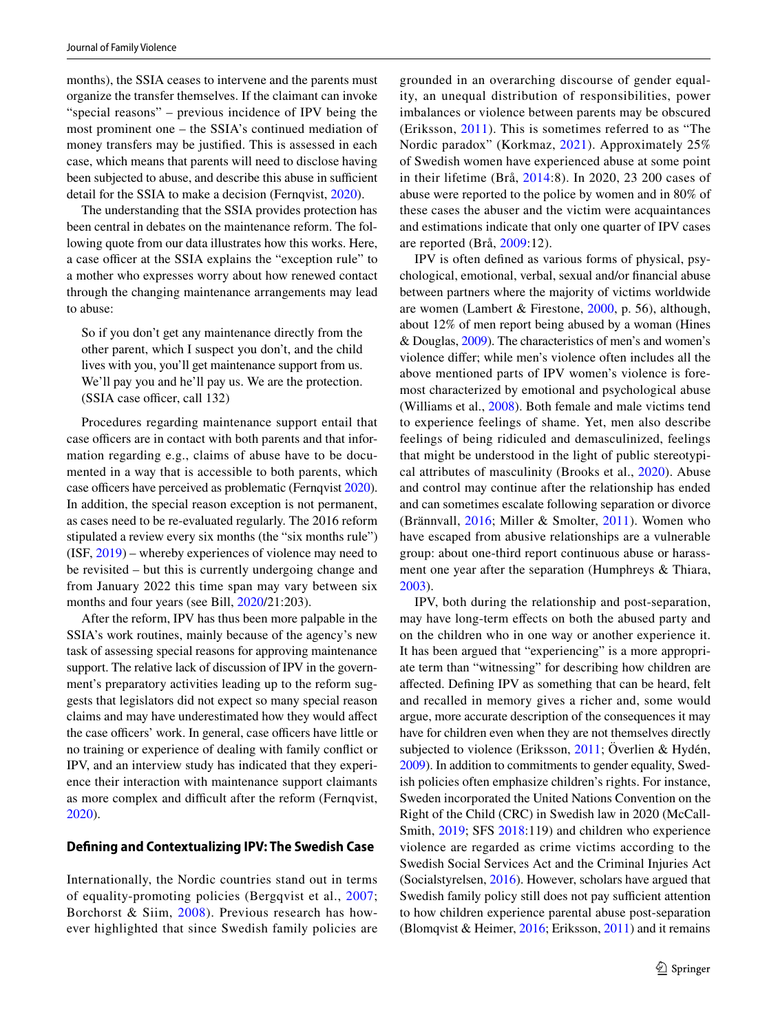months), the SSIA ceases to intervene and the parents must organize the transfer themselves. If the claimant can invoke "special reasons" – previous incidence of IPV being the most prominent one – the SSIA's continued mediation of money transfers may be justifed. This is assessed in each case, which means that parents will need to disclose having been subjected to abuse, and describe this abuse in sufficient detail for the SSIA to make a decision (Fernqvist, [2020](#page-10-7)).

The understanding that the SSIA provides protection has been central in debates on the maintenance reform. The following quote from our data illustrates how this works. Here, a case officer at the SSIA explains the "exception rule" to a mother who expresses worry about how renewed contact through the changing maintenance arrangements may lead to abuse:

So if you don't get any maintenance directly from the other parent, which I suspect you don't, and the child lives with you, you'll get maintenance support from us. We'll pay you and he'll pay us. We are the protection. (SSIA case officer, call 132)

Procedures regarding maintenance support entail that case officers are in contact with both parents and that information regarding e.g., claims of abuse have to be documented in a way that is accessible to both parents, which case officers have perceived as problematic (Fernqvist [2020](#page-10-7)). In addition, the special reason exception is not permanent, as cases need to be re-evaluated regularly. The 2016 reform stipulated a review every six months (the "six months rule") (ISF, [2019\)](#page-10-12) – whereby experiences of violence may need to be revisited – but this is currently undergoing change and from January 2022 this time span may vary between six months and four years (see Bill,  $2020/21:203$  $2020/21:203$ ).

After the reform, IPV has thus been more palpable in the SSIA's work routines, mainly because of the agency's new task of assessing special reasons for approving maintenance support. The relative lack of discussion of IPV in the government's preparatory activities leading up to the reform suggests that legislators did not expect so many special reason claims and may have underestimated how they would afect the case officers' work. In general, case officers have little or no training or experience of dealing with family confict or IPV, and an interview study has indicated that they experience their interaction with maintenance support claimants as more complex and difficult after the reform (Fernqvist, [2020](#page-10-7)).

## **Defning and Contextualizing IPV: The Swedish Case**

Internationally, the Nordic countries stand out in terms of equality-promoting policies (Bergqvist et al., [2007](#page-10-15); Borchorst & Siim, [2008\)](#page-10-16). Previous research has however highlighted that since Swedish family policies are grounded in an overarching discourse of gender equality, an unequal distribution of responsibilities, power imbalances or violence between parents may be obscured (Eriksson, [2011\)](#page-10-4). This is sometimes referred to as "The Nordic paradox" (Korkmaz, [2021\)](#page-11-4). Approximately 25% of Swedish women have experienced abuse at some point in their lifetime (Brå, [2014:](#page-10-17)8). In 2020, 23 200 cases of abuse were reported to the police by women and in 80% of these cases the abuser and the victim were acquaintances and estimations indicate that only one quarter of IPV cases are reported (Brå, [2009:](#page-10-18)12).

IPV is often defned as various forms of physical, psychological, emotional, verbal, sexual and/or fnancial abuse between partners where the majority of victims worldwide are women (Lambert & Firestone, [2000](#page-11-5), p. 56), although, about 12% of men report being abused by a woman (Hines & Douglas, [2009](#page-10-19)). The characteristics of men's and women's violence difer; while men's violence often includes all the above mentioned parts of IPV women's violence is foremost characterized by emotional and psychological abuse (Williams et al., [2008](#page-11-6)). Both female and male victims tend to experience feelings of shame. Yet, men also describe feelings of being ridiculed and demasculinized, feelings that might be understood in the light of public stereotypical attributes of masculinity (Brooks et al., [2020](#page-10-20)). Abuse and control may continue after the relationship has ended and can sometimes escalate following separation or divorce (Brännvall, [2016;](#page-10-10) Miller & Smolter, [2011](#page-11-7)). Women who have escaped from abusive relationships are a vulnerable group: about one-third report continuous abuse or harassment one year after the separation (Humphreys & Thiara, [2003](#page-10-8)).

IPV, both during the relationship and post-separation, may have long-term efects on both the abused party and on the children who in one way or another experience it. It has been argued that "experiencing" is a more appropriate term than "witnessing" for describing how children are afected. Defning IPV as something that can be heard, felt and recalled in memory gives a richer and, some would argue, more accurate description of the consequences it may have for children even when they are not themselves directly subjected to violence (Eriksson, [2011](#page-10-4); Överlien & Hydén, [2009\)](#page-11-8). In addition to commitments to gender equality, Swedish policies often emphasize children's rights. For instance, Sweden incorporated the United Nations Convention on the Right of the Child (CRC) in Swedish law in 2020 (McCall-Smith, [2019](#page-11-9); SFS [2018](#page-11-10):119) and children who experience violence are regarded as crime victims according to the Swedish Social Services Act and the Criminal Injuries Act (Socialstyrelsen, [2016](#page-11-11)). However, scholars have argued that Swedish family policy still does not pay sufficient attention to how children experience parental abuse post-separation (Blomqvist & Heimer, [2016;](#page-10-1) Eriksson, [2011\)](#page-10-4) and it remains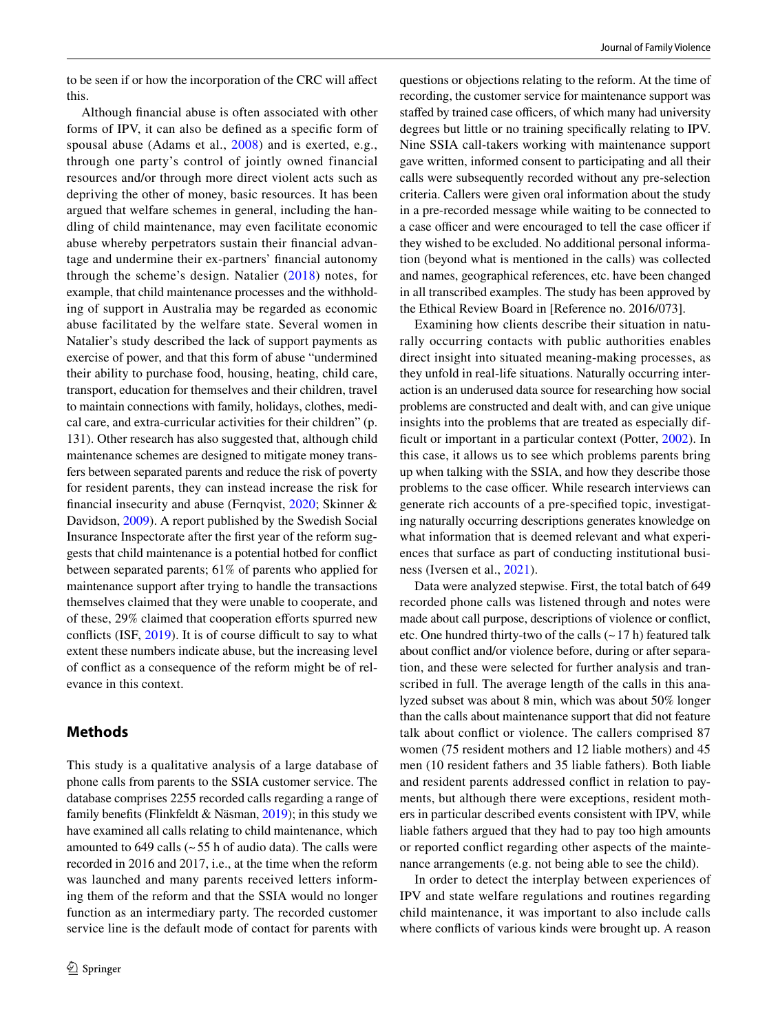to be seen if or how the incorporation of the CRC will afect this.

Although fnancial abuse is often associated with other forms of IPV, it can also be defned as a specifc form of spousal abuse (Adams et al., [2008](#page-10-21)) and is exerted, e.g., through one party's control of jointly owned financial resources and/or through more direct violent acts such as depriving the other of money, basic resources. It has been argued that welfare schemes in general, including the handling of child maintenance, may even facilitate economic abuse whereby perpetrators sustain their fnancial advantage and undermine their ex-partners' fnancial autonomy through the scheme's design. Natalier ([2018\)](#page-11-12) notes, for example, that child maintenance processes and the withholding of support in Australia may be regarded as economic abuse facilitated by the welfare state. Several women in Natalier's study described the lack of support payments as exercise of power, and that this form of abuse "undermined their ability to purchase food, housing, heating, child care, transport, education for themselves and their children, travel to maintain connections with family, holidays, clothes, medical care, and extra-curricular activities for their children" (p. 131). Other research has also suggested that, although child maintenance schemes are designed to mitigate money transfers between separated parents and reduce the risk of poverty for resident parents, they can instead increase the risk for fnancial insecurity and abuse (Fernqvist, [2020;](#page-10-7) Skinner & Davidson, [2009](#page-11-13)). A report published by the Swedish Social Insurance Inspectorate after the frst year of the reform suggests that child maintenance is a potential hotbed for confict between separated parents; 61% of parents who applied for maintenance support after trying to handle the transactions themselves claimed that they were unable to cooperate, and of these, 29% claimed that cooperation efforts spurred new conflicts (ISF,  $2019$ ). It is of course difficult to say to what extent these numbers indicate abuse, but the increasing level of confict as a consequence of the reform might be of relevance in this context.

## **Methods**

This study is a qualitative analysis of a large database of phone calls from parents to the SSIA customer service. The database comprises 2255 recorded calls regarding a range of family benefits (Flinkfeldt & Näsman,  $2019$ ); in this study we have examined all calls relating to child maintenance, which amounted to  $649$  calls ( $\sim$  55 h of audio data). The calls were recorded in 2016 and 2017, i.e., at the time when the reform was launched and many parents received letters informing them of the reform and that the SSIA would no longer function as an intermediary party. The recorded customer service line is the default mode of contact for parents with

questions or objections relating to the reform. At the time of recording, the customer service for maintenance support was staffed by trained case officers, of which many had university degrees but little or no training specifcally relating to IPV. Nine SSIA call-takers working with maintenance support gave written, informed consent to participating and all their calls were subsequently recorded without any pre-selection criteria. Callers were given oral information about the study in a pre-recorded message while waiting to be connected to a case officer and were encouraged to tell the case officer if they wished to be excluded. No additional personal information (beyond what is mentioned in the calls) was collected and names, geographical references, etc. have been changed in all transcribed examples. The study has been approved by the Ethical Review Board in [Reference no. 2016/073].

Examining how clients describe their situation in naturally occurring contacts with public authorities enables direct insight into situated meaning-making processes, as they unfold in real-life situations. Naturally occurring interaction is an underused data source for researching how social problems are constructed and dealt with, and can give unique insights into the problems that are treated as especially dif-ficult or important in a particular context (Potter, [2002](#page-11-14)). In this case, it allows us to see which problems parents bring up when talking with the SSIA, and how they describe those problems to the case officer. While research interviews can generate rich accounts of a pre-specifed topic, investigating naturally occurring descriptions generates knowledge on what information that is deemed relevant and what experiences that surface as part of conducting institutional business (Iversen et al., [2021](#page-10-23)).

Data were analyzed stepwise. First, the total batch of 649 recorded phone calls was listened through and notes were made about call purpose, descriptions of violence or confict, etc. One hundred thirty-two of the calls  $(-17 h)$  featured talk about confict and/or violence before, during or after separation, and these were selected for further analysis and transcribed in full. The average length of the calls in this analyzed subset was about 8 min, which was about 50% longer than the calls about maintenance support that did not feature talk about confict or violence. The callers comprised 87 women (75 resident mothers and 12 liable mothers) and 45 men (10 resident fathers and 35 liable fathers). Both liable and resident parents addressed confict in relation to payments, but although there were exceptions, resident mothers in particular described events consistent with IPV, while liable fathers argued that they had to pay too high amounts or reported confict regarding other aspects of the maintenance arrangements (e.g. not being able to see the child).

In order to detect the interplay between experiences of IPV and state welfare regulations and routines regarding child maintenance, it was important to also include calls where conficts of various kinds were brought up. A reason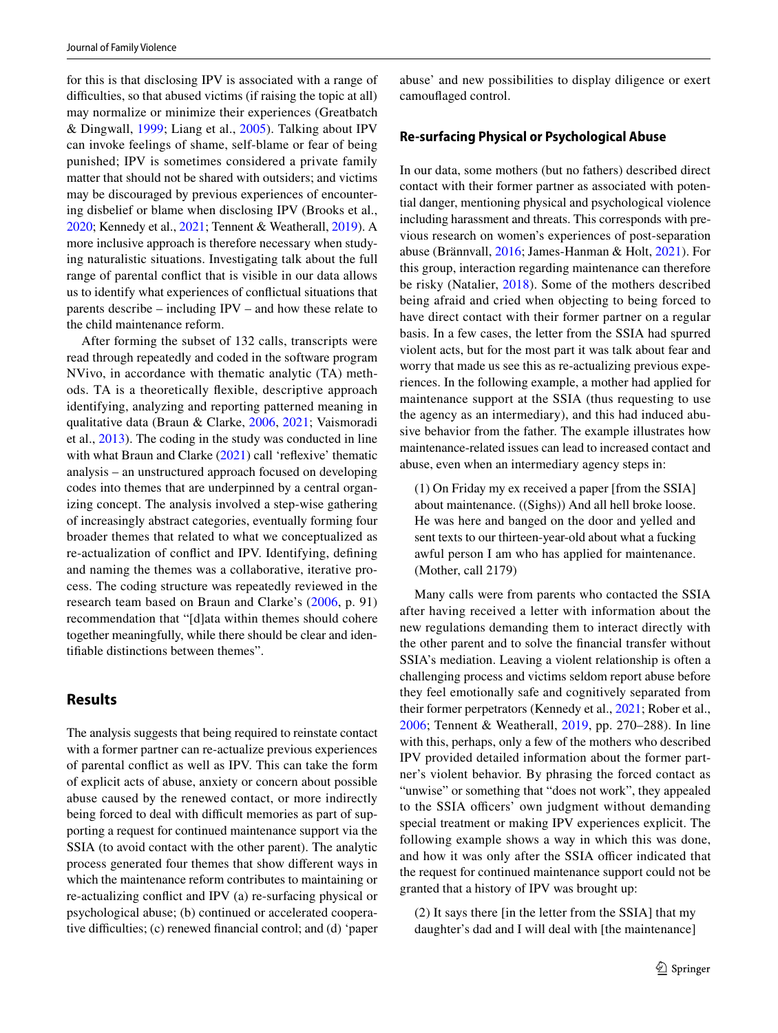for this is that disclosing IPV is associated with a range of difficulties, so that abused victims (if raising the topic at all) may normalize or minimize their experiences (Greatbatch & Dingwall, [1999](#page-10-11); Liang et al., [2005\)](#page-11-15). Talking about IPV can invoke feelings of shame, self-blame or fear of being punished; IPV is sometimes considered a private family matter that should not be shared with outsiders; and victims may be discouraged by previous experiences of encountering disbelief or blame when disclosing IPV (Brooks et al., [2020;](#page-10-20) Kennedy et al., [2021](#page-10-24); Tennent & Weatherall, [2019\)](#page-11-3). A more inclusive approach is therefore necessary when studying naturalistic situations. Investigating talk about the full range of parental confict that is visible in our data allows us to identify what experiences of confictual situations that parents describe – including IPV – and how these relate to the child maintenance reform.

After forming the subset of 132 calls, transcripts were read through repeatedly and coded in the software program NVivo, in accordance with thematic analytic (TA) methods. TA is a theoretically fexible, descriptive approach identifying, analyzing and reporting patterned meaning in qualitative data (Braun & Clarke, [2006](#page-10-25), [2021;](#page-10-26) Vaismoradi et al., [2013\)](#page-11-16). The coding in the study was conducted in line with what Braun and Clarke ([2021\)](#page-10-26) call 'reflexive' thematic analysis – an unstructured approach focused on developing codes into themes that are underpinned by a central organizing concept. The analysis involved a step-wise gathering of increasingly abstract categories, eventually forming four broader themes that related to what we conceptualized as re-actualization of confict and IPV. Identifying, defning and naming the themes was a collaborative, iterative process. The coding structure was repeatedly reviewed in the research team based on Braun and Clarke's [\(2006,](#page-10-25) p. 91) recommendation that "[d]ata within themes should cohere together meaningfully, while there should be clear and identifable distinctions between themes".

## **Results**

The analysis suggests that being required to reinstate contact with a former partner can re-actualize previous experiences of parental confict as well as IPV. This can take the form of explicit acts of abuse, anxiety or concern about possible abuse caused by the renewed contact, or more indirectly being forced to deal with difficult memories as part of supporting a request for continued maintenance support via the SSIA (to avoid contact with the other parent). The analytic process generated four themes that show diferent ways in which the maintenance reform contributes to maintaining or re-actualizing confict and IPV (a) re-surfacing physical or psychological abuse; (b) continued or accelerated cooperative difficulties; (c) renewed financial control; and (d) 'paper abuse' and new possibilities to display diligence or exert camoufaged control.

#### **Re‑surfacing Physical or Psychological Abuse**

In our data, some mothers (but no fathers) described direct contact with their former partner as associated with potential danger, mentioning physical and psychological violence including harassment and threats. This corresponds with previous research on women's experiences of post-separation abuse (Brännvall, [2016](#page-10-10); James-Hanman & Holt, [2021](#page-10-5)). For this group, interaction regarding maintenance can therefore be risky (Natalier, [2018\)](#page-11-12). Some of the mothers described being afraid and cried when objecting to being forced to have direct contact with their former partner on a regular basis. In a few cases, the letter from the SSIA had spurred violent acts, but for the most part it was talk about fear and worry that made us see this as re-actualizing previous experiences. In the following example, a mother had applied for maintenance support at the SSIA (thus requesting to use the agency as an intermediary), and this had induced abusive behavior from the father. The example illustrates how maintenance-related issues can lead to increased contact and abuse, even when an intermediary agency steps in:

(1) On Friday my ex received a paper [from the SSIA] about maintenance. ((Sighs)) And all hell broke loose. He was here and banged on the door and yelled and sent texts to our thirteen-year-old about what a fucking awful person I am who has applied for maintenance. (Mother, call 2179)

Many calls were from parents who contacted the SSIA after having received a letter with information about the new regulations demanding them to interact directly with the other parent and to solve the fnancial transfer without SSIA's mediation. Leaving a violent relationship is often a challenging process and victims seldom report abuse before they feel emotionally safe and cognitively separated from their former perpetrators (Kennedy et al., [2021](#page-10-24); Rober et al., [2006;](#page-11-17) Tennent & Weatherall, [2019,](#page-11-3) pp. 270–288). In line with this, perhaps, only a few of the mothers who described IPV provided detailed information about the former partner's violent behavior. By phrasing the forced contact as "unwise" or something that "does not work", they appealed to the SSIA officers' own judgment without demanding special treatment or making IPV experiences explicit. The following example shows a way in which this was done, and how it was only after the SSIA officer indicated that the request for continued maintenance support could not be granted that a history of IPV was brought up:

(2) It says there [in the letter from the SSIA] that my daughter's dad and I will deal with [the maintenance]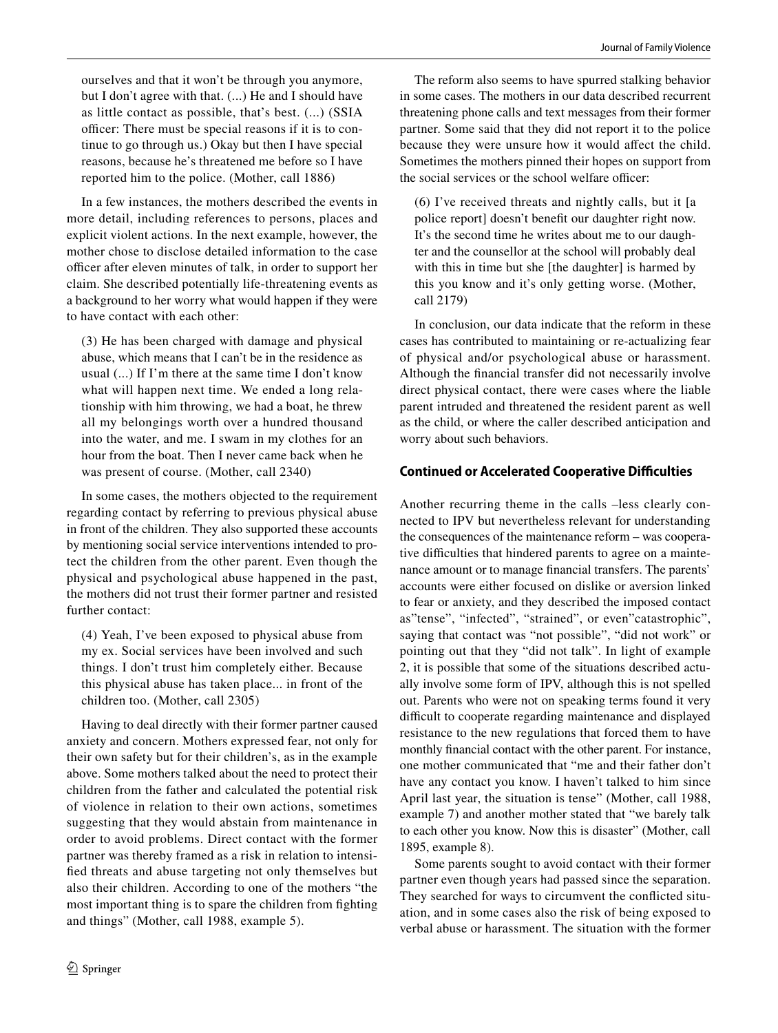ourselves and that it won't be through you anymore, but I don't agree with that. (...) He and I should have as little contact as possible, that's best. (...) (SSIA officer: There must be special reasons if it is to continue to go through us.) Okay but then I have special reasons, because he's threatened me before so I have reported him to the police. (Mother, call 1886)

In a few instances, the mothers described the events in more detail, including references to persons, places and explicit violent actions. In the next example, however, the mother chose to disclose detailed information to the case officer after eleven minutes of talk, in order to support her claim. She described potentially life-threatening events as a background to her worry what would happen if they were to have contact with each other:

(3) He has been charged with damage and physical abuse, which means that I can't be in the residence as usual (...) If I'm there at the same time I don't know what will happen next time. We ended a long relationship with him throwing, we had a boat, he threw all my belongings worth over a hundred thousand into the water, and me. I swam in my clothes for an hour from the boat. Then I never came back when he was present of course. (Mother, call 2340)

In some cases, the mothers objected to the requirement regarding contact by referring to previous physical abuse in front of the children. They also supported these accounts by mentioning social service interventions intended to protect the children from the other parent. Even though the physical and psychological abuse happened in the past, the mothers did not trust their former partner and resisted further contact:

(4) Yeah, I've been exposed to physical abuse from my ex. Social services have been involved and such things. I don't trust him completely either. Because this physical abuse has taken place... in front of the children too. (Mother, call 2305)

Having to deal directly with their former partner caused anxiety and concern. Mothers expressed fear, not only for their own safety but for their children's, as in the example above. Some mothers talked about the need to protect their children from the father and calculated the potential risk of violence in relation to their own actions, sometimes suggesting that they would abstain from maintenance in order to avoid problems. Direct contact with the former partner was thereby framed as a risk in relation to intensifed threats and abuse targeting not only themselves but also their children. According to one of the mothers "the most important thing is to spare the children from fghting and things" (Mother, call 1988, example 5).

The reform also seems to have spurred stalking behavior in some cases. The mothers in our data described recurrent threatening phone calls and text messages from their former partner. Some said that they did not report it to the police because they were unsure how it would affect the child. Sometimes the mothers pinned their hopes on support from the social services or the school welfare officer:

(6) I've received threats and nightly calls, but it [a police report] doesn't beneft our daughter right now. It's the second time he writes about me to our daughter and the counsellor at the school will probably deal with this in time but she [the daughter] is harmed by this you know and it's only getting worse. (Mother, call 2179)

In conclusion, our data indicate that the reform in these cases has contributed to maintaining or re-actualizing fear of physical and/or psychological abuse or harassment. Although the fnancial transfer did not necessarily involve direct physical contact, there were cases where the liable parent intruded and threatened the resident parent as well as the child, or where the caller described anticipation and worry about such behaviors.

# **Continued or Accelerated Cooperative Difculties**

Another recurring theme in the calls –less clearly connected to IPV but nevertheless relevant for understanding the consequences of the maintenance reform – was cooperative difficulties that hindered parents to agree on a maintenance amount or to manage fnancial transfers. The parents' accounts were either focused on dislike or aversion linked to fear or anxiety, and they described the imposed contact as"tense", "infected", "strained", or even"catastrophic", saying that contact was "not possible", "did not work" or pointing out that they "did not talk". In light of example 2, it is possible that some of the situations described actually involve some form of IPV, although this is not spelled out. Parents who were not on speaking terms found it very difficult to cooperate regarding maintenance and displayed resistance to the new regulations that forced them to have monthly fnancial contact with the other parent. For instance, one mother communicated that "me and their father don't have any contact you know. I haven't talked to him since April last year, the situation is tense" (Mother, call 1988, example 7) and another mother stated that "we barely talk to each other you know. Now this is disaster" (Mother, call 1895, example 8).

Some parents sought to avoid contact with their former partner even though years had passed since the separation. They searched for ways to circumvent the conficted situation, and in some cases also the risk of being exposed to verbal abuse or harassment. The situation with the former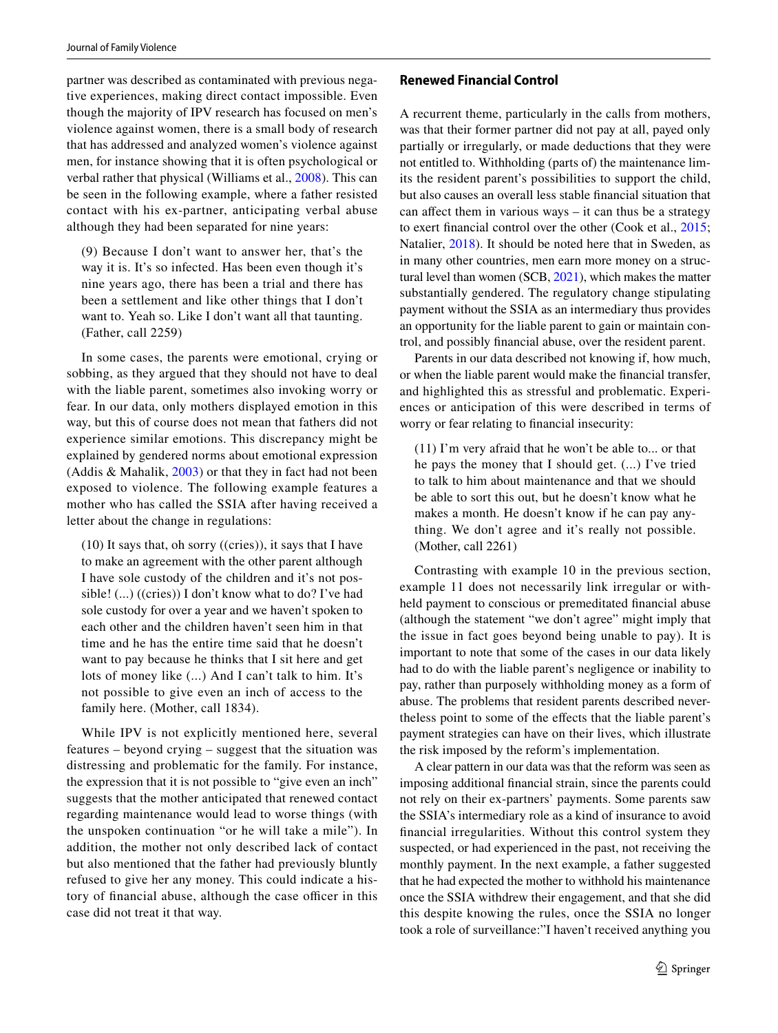partner was described as contaminated with previous negative experiences, making direct contact impossible. Even though the majority of IPV research has focused on men's violence against women, there is a small body of research that has addressed and analyzed women's violence against men, for instance showing that it is often psychological or verbal rather that physical (Williams et al., [2008](#page-11-6)). This can be seen in the following example, where a father resisted contact with his ex-partner, anticipating verbal abuse although they had been separated for nine years:

(9) Because I don't want to answer her, that's the way it is. It's so infected. Has been even though it's nine years ago, there has been a trial and there has been a settlement and like other things that I don't want to. Yeah so. Like I don't want all that taunting. (Father, call 2259)

In some cases, the parents were emotional, crying or sobbing, as they argued that they should not have to deal with the liable parent, sometimes also invoking worry or fear. In our data, only mothers displayed emotion in this way, but this of course does not mean that fathers did not experience similar emotions. This discrepancy might be explained by gendered norms about emotional expression (Addis & Mahalik, [2003\)](#page-10-27) or that they in fact had not been exposed to violence. The following example features a mother who has called the SSIA after having received a letter about the change in regulations:

(10) It says that, oh sorry ((cries)), it says that I have to make an agreement with the other parent although I have sole custody of the children and it's not possible! (...) ((cries)) I don't know what to do? I've had sole custody for over a year and we haven't spoken to each other and the children haven't seen him in that time and he has the entire time said that he doesn't want to pay because he thinks that I sit here and get lots of money like (...) And I can't talk to him. It's not possible to give even an inch of access to the family here. (Mother, call 1834).

While IPV is not explicitly mentioned here, several features – beyond crying – suggest that the situation was distressing and problematic for the family. For instance, the expression that it is not possible to "give even an inch" suggests that the mother anticipated that renewed contact regarding maintenance would lead to worse things (with the unspoken continuation "or he will take a mile"). In addition, the mother not only described lack of contact but also mentioned that the father had previously bluntly refused to give her any money. This could indicate a history of financial abuse, although the case officer in this case did not treat it that way.

### **Renewed Financial Control**

A recurrent theme, particularly in the calls from mothers, was that their former partner did not pay at all, payed only partially or irregularly, or made deductions that they were not entitled to. Withholding (parts of) the maintenance limits the resident parent's possibilities to support the child, but also causes an overall less stable fnancial situation that can affect them in various ways  $-$  it can thus be a strategy to exert fnancial control over the other (Cook et al., [2015](#page-10-6); Natalier, [2018](#page-11-12)). It should be noted here that in Sweden, as in many other countries, men earn more money on a structural level than women (SCB, [2021\)](#page-11-18), which makes the matter substantially gendered. The regulatory change stipulating payment without the SSIA as an intermediary thus provides an opportunity for the liable parent to gain or maintain control, and possibly fnancial abuse, over the resident parent.

Parents in our data described not knowing if, how much, or when the liable parent would make the fnancial transfer, and highlighted this as stressful and problematic. Experiences or anticipation of this were described in terms of worry or fear relating to fnancial insecurity:

(11) I'm very afraid that he won't be able to... or that he pays the money that I should get. (...) I've tried to talk to him about maintenance and that we should be able to sort this out, but he doesn't know what he makes a month. He doesn't know if he can pay anything. We don't agree and it's really not possible. (Mother, call 2261)

Contrasting with example 10 in the previous section, example 11 does not necessarily link irregular or withheld payment to conscious or premeditated fnancial abuse (although the statement "we don't agree" might imply that the issue in fact goes beyond being unable to pay). It is important to note that some of the cases in our data likely had to do with the liable parent's negligence or inability to pay, rather than purposely withholding money as a form of abuse. The problems that resident parents described nevertheless point to some of the effects that the liable parent's payment strategies can have on their lives, which illustrate the risk imposed by the reform's implementation.

A clear pattern in our data was that the reform was seen as imposing additional fnancial strain, since the parents could not rely on their ex-partners' payments. Some parents saw the SSIA's intermediary role as a kind of insurance to avoid fnancial irregularities. Without this control system they suspected, or had experienced in the past, not receiving the monthly payment. In the next example, a father suggested that he had expected the mother to withhold his maintenance once the SSIA withdrew their engagement, and that she did this despite knowing the rules, once the SSIA no longer took a role of surveillance:"I haven't received anything you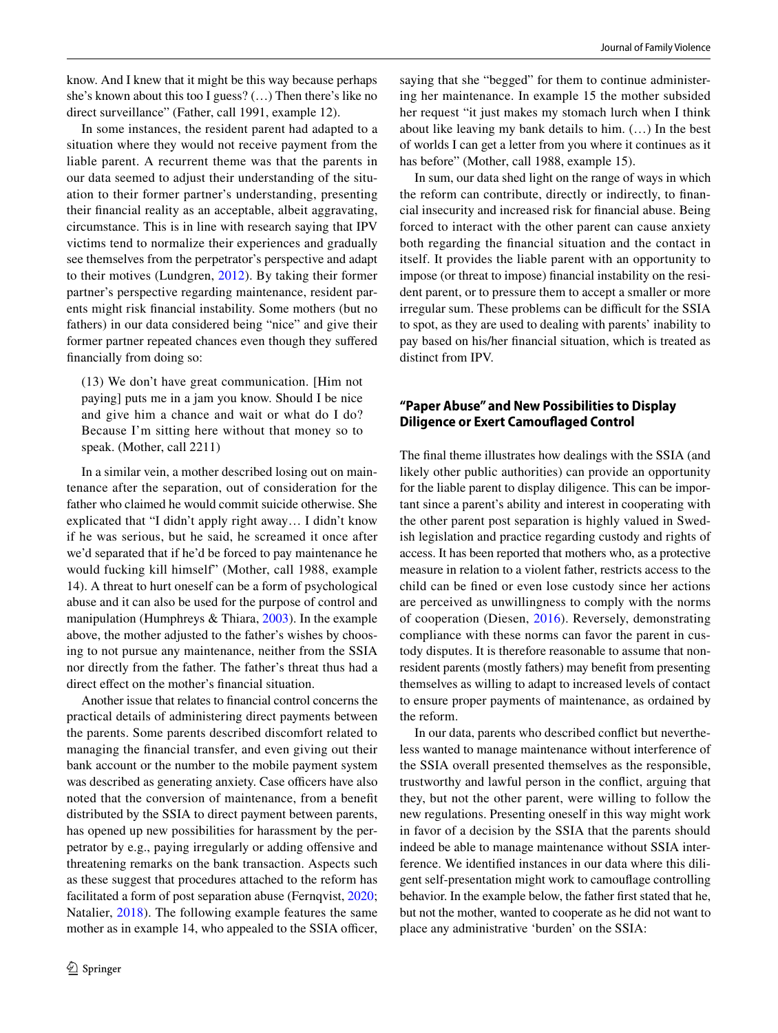know. And I knew that it might be this way because perhaps she's known about this too I guess? (…) Then there's like no direct surveillance" (Father, call 1991, example 12).

In some instances, the resident parent had adapted to a situation where they would not receive payment from the liable parent. A recurrent theme was that the parents in our data seemed to adjust their understanding of the situation to their former partner's understanding, presenting their fnancial reality as an acceptable, albeit aggravating, circumstance. This is in line with research saying that IPV victims tend to normalize their experiences and gradually see themselves from the perpetrator's perspective and adapt to their motives (Lundgren, [2012\)](#page-11-19). By taking their former partner's perspective regarding maintenance, resident parents might risk fnancial instability. Some mothers (but no fathers) in our data considered being "nice" and give their former partner repeated chances even though they sufered fnancially from doing so:

(13) We don't have great communication. [Him not paying] puts me in a jam you know. Should I be nice and give him a chance and wait or what do I do? Because I'm sitting here without that money so to speak. (Mother, call 2211)

In a similar vein, a mother described losing out on maintenance after the separation, out of consideration for the father who claimed he would commit suicide otherwise. She explicated that "I didn't apply right away… I didn't know if he was serious, but he said, he screamed it once after we'd separated that if he'd be forced to pay maintenance he would fucking kill himself" (Mother, call 1988, example 14). A threat to hurt oneself can be a form of psychological abuse and it can also be used for the purpose of control and manipulation (Humphreys & Thiara, [2003](#page-10-8)). In the example above, the mother adjusted to the father's wishes by choosing to not pursue any maintenance, neither from the SSIA nor directly from the father. The father's threat thus had a direct efect on the mother's fnancial situation.

Another issue that relates to fnancial control concerns the practical details of administering direct payments between the parents. Some parents described discomfort related to managing the fnancial transfer, and even giving out their bank account or the number to the mobile payment system was described as generating anxiety. Case officers have also noted that the conversion of maintenance, from a beneft distributed by the SSIA to direct payment between parents, has opened up new possibilities for harassment by the perpetrator by e.g., paying irregularly or adding offensive and threatening remarks on the bank transaction. Aspects such as these suggest that procedures attached to the reform has facilitated a form of post separation abuse (Fernqvist, [2020](#page-10-7); Natalier, [2018\)](#page-11-12). The following example features the same mother as in example 14, who appealed to the SSIA officer, saying that she "begged" for them to continue administering her maintenance. In example 15 the mother subsided her request "it just makes my stomach lurch when I think about like leaving my bank details to him. (…) In the best of worlds I can get a letter from you where it continues as it has before" (Mother, call 1988, example 15).

In sum, our data shed light on the range of ways in which the reform can contribute, directly or indirectly, to fnancial insecurity and increased risk for fnancial abuse. Being forced to interact with the other parent can cause anxiety both regarding the fnancial situation and the contact in itself. It provides the liable parent with an opportunity to impose (or threat to impose) fnancial instability on the resident parent, or to pressure them to accept a smaller or more irregular sum. These problems can be difficult for the SSIA to spot, as they are used to dealing with parents' inability to pay based on his/her fnancial situation, which is treated as distinct from IPV.

## **"Paper Abuse" and New Possibilities to Display Diligence or Exert Camoufaged Control**

The fnal theme illustrates how dealings with the SSIA (and likely other public authorities) can provide an opportunity for the liable parent to display diligence. This can be important since a parent's ability and interest in cooperating with the other parent post separation is highly valued in Swedish legislation and practice regarding custody and rights of access. It has been reported that mothers who, as a protective measure in relation to a violent father, restricts access to the child can be fned or even lose custody since her actions are perceived as unwillingness to comply with the norms of cooperation (Diesen, [2016](#page-10-3)). Reversely, demonstrating compliance with these norms can favor the parent in custody disputes. It is therefore reasonable to assume that nonresident parents (mostly fathers) may beneft from presenting themselves as willing to adapt to increased levels of contact to ensure proper payments of maintenance, as ordained by the reform.

In our data, parents who described confict but nevertheless wanted to manage maintenance without interference of the SSIA overall presented themselves as the responsible, trustworthy and lawful person in the confict, arguing that they, but not the other parent, were willing to follow the new regulations. Presenting oneself in this way might work in favor of a decision by the SSIA that the parents should indeed be able to manage maintenance without SSIA interference. We identifed instances in our data where this diligent self-presentation might work to camoufage controlling behavior. In the example below, the father frst stated that he, but not the mother, wanted to cooperate as he did not want to place any administrative 'burden' on the SSIA: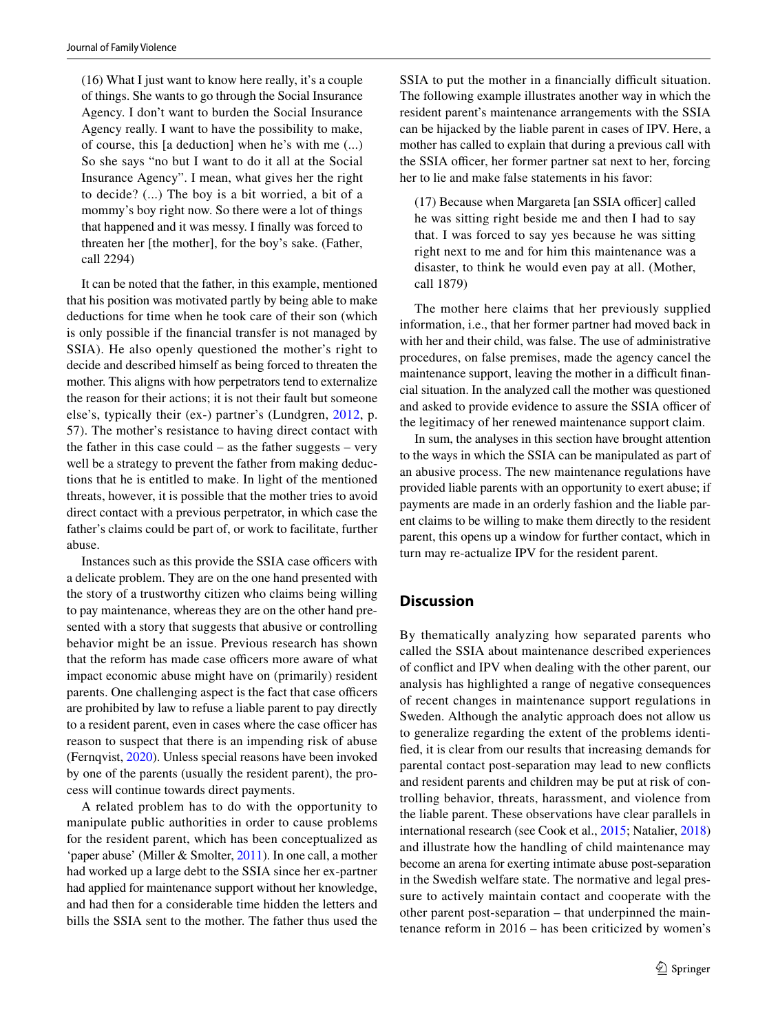(16) What I just want to know here really, it's a couple of things. She wants to go through the Social Insurance Agency. I don't want to burden the Social Insurance Agency really. I want to have the possibility to make, of course, this [a deduction] when he's with me (...) So she says "no but I want to do it all at the Social Insurance Agency". I mean, what gives her the right to decide? (...) The boy is a bit worried, a bit of a mommy's boy right now. So there were a lot of things that happened and it was messy. I fnally was forced to threaten her [the mother], for the boy's sake. (Father, call 2294)

It can be noted that the father, in this example, mentioned that his position was motivated partly by being able to make deductions for time when he took care of their son (which is only possible if the fnancial transfer is not managed by SSIA). He also openly questioned the mother's right to decide and described himself as being forced to threaten the mother. This aligns with how perpetrators tend to externalize the reason for their actions; it is not their fault but someone else's, typically their (ex-) partner's (Lundgren, [2012,](#page-11-19) p. 57). The mother's resistance to having direct contact with the father in this case could – as the father suggests – very well be a strategy to prevent the father from making deductions that he is entitled to make. In light of the mentioned threats, however, it is possible that the mother tries to avoid direct contact with a previous perpetrator, in which case the father's claims could be part of, or work to facilitate, further abuse.

Instances such as this provide the SSIA case officers with a delicate problem. They are on the one hand presented with the story of a trustworthy citizen who claims being willing to pay maintenance, whereas they are on the other hand presented with a story that suggests that abusive or controlling behavior might be an issue. Previous research has shown that the reform has made case officers more aware of what impact economic abuse might have on (primarily) resident parents. One challenging aspect is the fact that case officers are prohibited by law to refuse a liable parent to pay directly to a resident parent, even in cases where the case officer has reason to suspect that there is an impending risk of abuse (Fernqvist, [2020\)](#page-10-7). Unless special reasons have been invoked by one of the parents (usually the resident parent), the process will continue towards direct payments.

A related problem has to do with the opportunity to manipulate public authorities in order to cause problems for the resident parent, which has been conceptualized as 'paper abuse' (Miller & Smolter, [2011](#page-11-7)). In one call, a mother had worked up a large debt to the SSIA since her ex-partner had applied for maintenance support without her knowledge, and had then for a considerable time hidden the letters and bills the SSIA sent to the mother. The father thus used the SSIA to put the mother in a financially difficult situation. The following example illustrates another way in which the resident parent's maintenance arrangements with the SSIA can be hijacked by the liable parent in cases of IPV. Here, a mother has called to explain that during a previous call with the SSIA officer, her former partner sat next to her, forcing her to lie and make false statements in his favor:

 $(17)$  Because when Margareta [an SSIA officer] called he was sitting right beside me and then I had to say that. I was forced to say yes because he was sitting right next to me and for him this maintenance was a disaster, to think he would even pay at all. (Mother, call 1879)

The mother here claims that her previously supplied information, i.e., that her former partner had moved back in with her and their child, was false. The use of administrative procedures, on false premises, made the agency cancel the maintenance support, leaving the mother in a difficult financial situation. In the analyzed call the mother was questioned and asked to provide evidence to assure the SSIA officer of the legitimacy of her renewed maintenance support claim.

In sum, the analyses in this section have brought attention to the ways in which the SSIA can be manipulated as part of an abusive process. The new maintenance regulations have provided liable parents with an opportunity to exert abuse; if payments are made in an orderly fashion and the liable parent claims to be willing to make them directly to the resident parent, this opens up a window for further contact, which in turn may re-actualize IPV for the resident parent.

# **Discussion**

By thematically analyzing how separated parents who called the SSIA about maintenance described experiences of confict and IPV when dealing with the other parent, our analysis has highlighted a range of negative consequences of recent changes in maintenance support regulations in Sweden. Although the analytic approach does not allow us to generalize regarding the extent of the problems identifed, it is clear from our results that increasing demands for parental contact post-separation may lead to new conficts and resident parents and children may be put at risk of controlling behavior, threats, harassment, and violence from the liable parent. These observations have clear parallels in international research (see Cook et al., [2015;](#page-10-6) Natalier, [2018](#page-11-12)) and illustrate how the handling of child maintenance may become an arena for exerting intimate abuse post-separation in the Swedish welfare state. The normative and legal pressure to actively maintain contact and cooperate with the other parent post-separation – that underpinned the maintenance reform in 2016 – has been criticized by women's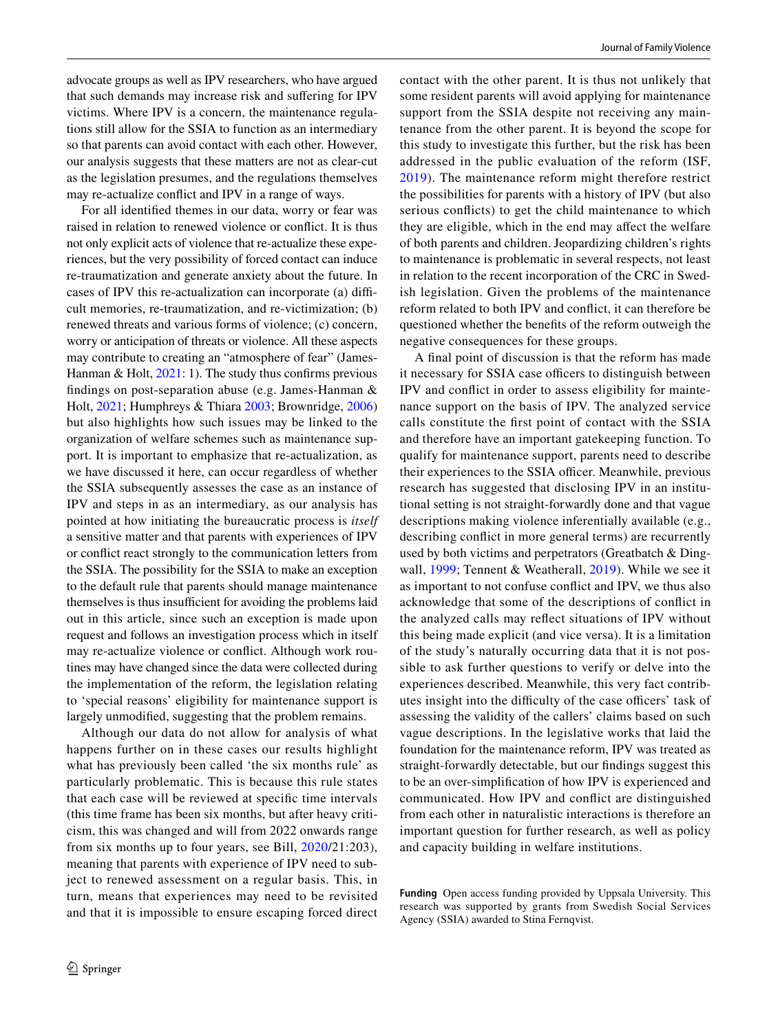advocate groups as well as IPV researchers, who have argued that such demands may increase risk and sufering for IPV victims. Where IPV is a concern, the maintenance regulations still allow for the SSIA to function as an intermediary so that parents can avoid contact with each other. However, our analysis suggests that these matters are not as clear-cut as the legislation presumes, and the regulations themselves may re-actualize confict and IPV in a range of ways.

For all identifed themes in our data, worry or fear was raised in relation to renewed violence or confict. It is thus not only explicit acts of violence that re-actualize these experiences, but the very possibility of forced contact can induce re-traumatization and generate anxiety about the future. In cases of IPV this re-actualization can incorporate (a) difficult memories, re-traumatization, and re-victimization; (b) renewed threats and various forms of violence; (c) concern, worry or anticipation of threats or violence. All these aspects may contribute to creating an "atmosphere of fear" (James-Hanman & Holt, [2021](#page-10-5): 1). The study thus confirms previous fndings on post-separation abuse (e.g. James-Hanman & Holt, [2021](#page-10-5); Humphreys & Thiara [2003](#page-10-8); Brownridge, [2006\)](#page-10-9) but also highlights how such issues may be linked to the organization of welfare schemes such as maintenance support. It is important to emphasize that re-actualization, as we have discussed it here, can occur regardless of whether the SSIA subsequently assesses the case as an instance of IPV and steps in as an intermediary, as our analysis has pointed at how initiating the bureaucratic process is *itself* a sensitive matter and that parents with experiences of IPV or confict react strongly to the communication letters from the SSIA. The possibility for the SSIA to make an exception to the default rule that parents should manage maintenance themselves is thus insufficient for avoiding the problems laid out in this article, since such an exception is made upon request and follows an investigation process which in itself may re-actualize violence or confict. Although work routines may have changed since the data were collected during the implementation of the reform, the legislation relating to 'special reasons' eligibility for maintenance support is largely unmodifed, suggesting that the problem remains.

Although our data do not allow for analysis of what happens further on in these cases our results highlight what has previously been called 'the six months rule' as particularly problematic. This is because this rule states that each case will be reviewed at specifc time intervals (this time frame has been six months, but after heavy criticism, this was changed and will from 2022 onwards range from six months up to four years, see Bill, [2020](#page-10-14)/21:203), meaning that parents with experience of IPV need to subject to renewed assessment on a regular basis. This, in turn, means that experiences may need to be revisited and that it is impossible to ensure escaping forced direct contact with the other parent. It is thus not unlikely that some resident parents will avoid applying for maintenance support from the SSIA despite not receiving any maintenance from the other parent. It is beyond the scope for this study to investigate this further, but the risk has been addressed in the public evaluation of the reform (ISF, [2019](#page-10-12)). The maintenance reform might therefore restrict the possibilities for parents with a history of IPV (but also serious conficts) to get the child maintenance to which they are eligible, which in the end may afect the welfare of both parents and children. Jeopardizing children's rights to maintenance is problematic in several respects, not least in relation to the recent incorporation of the CRC in Swedish legislation. Given the problems of the maintenance reform related to both IPV and confict, it can therefore be questioned whether the benefts of the reform outweigh the negative consequences for these groups.

A fnal point of discussion is that the reform has made it necessary for SSIA case officers to distinguish between IPV and confict in order to assess eligibility for maintenance support on the basis of IPV. The analyzed service calls constitute the frst point of contact with the SSIA and therefore have an important gatekeeping function. To qualify for maintenance support, parents need to describe their experiences to the SSIA officer. Meanwhile, previous research has suggested that disclosing IPV in an institutional setting is not straight-forwardly done and that vague descriptions making violence inferentially available (e.g., describing confict in more general terms) are recurrently used by both victims and perpetrators (Greatbatch & Dingwall, [1999;](#page-10-11) Tennent & Weatherall, [2019](#page-11-3)). While we see it as important to not confuse confict and IPV, we thus also acknowledge that some of the descriptions of confict in the analyzed calls may refect situations of IPV without this being made explicit (and vice versa). It is a limitation of the study's naturally occurring data that it is not possible to ask further questions to verify or delve into the experiences described. Meanwhile, this very fact contributes insight into the difficulty of the case officers' task of assessing the validity of the callers' claims based on such vague descriptions. In the legislative works that laid the foundation for the maintenance reform, IPV was treated as straight-forwardly detectable, but our fndings suggest this to be an over-simplifcation of how IPV is experienced and communicated. How IPV and confict are distinguished from each other in naturalistic interactions is therefore an important question for further research, as well as policy and capacity building in welfare institutions.

**Funding** Open access funding provided by Uppsala University. This research was supported by grants from Swedish Social Services Agency (SSIA) awarded to Stina Fernqvist.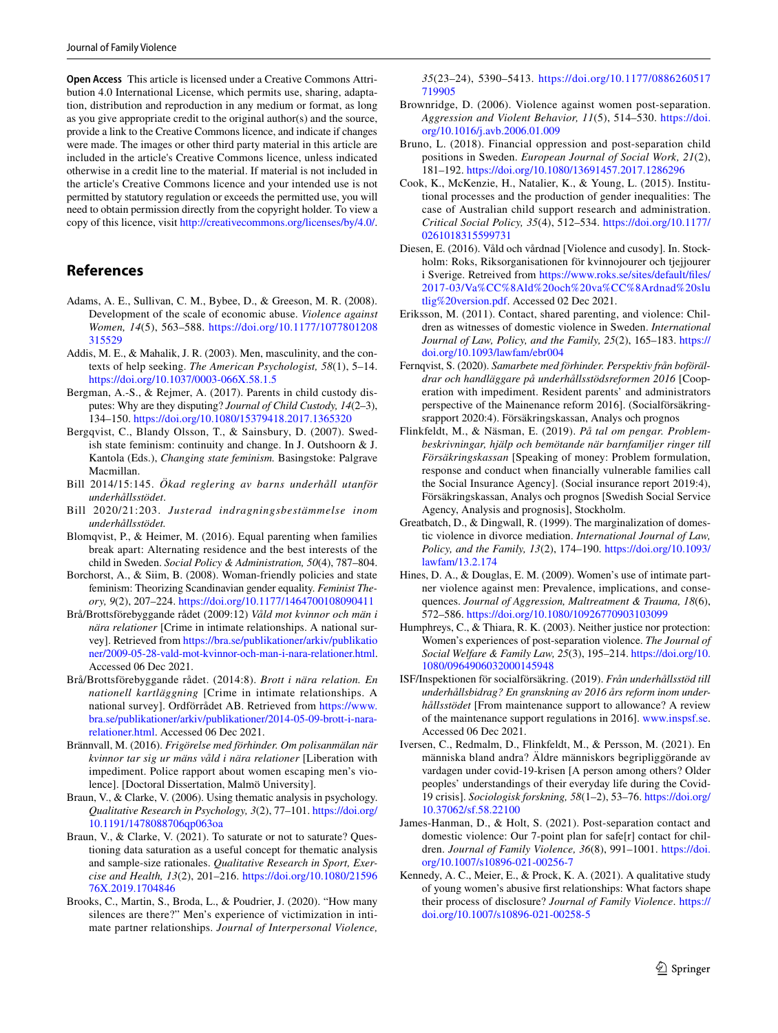**Open Access** This article is licensed under a Creative Commons Attribution 4.0 International License, which permits use, sharing, adaptation, distribution and reproduction in any medium or format, as long as you give appropriate credit to the original author(s) and the source, provide a link to the Creative Commons licence, and indicate if changes were made. The images or other third party material in this article are included in the article's Creative Commons licence, unless indicated otherwise in a credit line to the material. If material is not included in the article's Creative Commons licence and your intended use is not permitted by statutory regulation or exceeds the permitted use, you will need to obtain permission directly from the copyright holder. To view a copy of this licence, visit <http://creativecommons.org/licenses/by/4.0/>.

# **References**

- <span id="page-10-21"></span>Adams, A. E., Sullivan, C. M., Bybee, D., & Greeson, M. R. (2008). Development of the scale of economic abuse. *Violence against Women, 14*(5), 563–588. [https://doi.org/10.1177/1077801208](https://doi.org/10.1177/1077801208315529) [315529](https://doi.org/10.1177/1077801208315529)
- <span id="page-10-27"></span>Addis, M. E., & Mahalik, J. R. (2003). Men, masculinity, and the contexts of help seeking. *The American Psychologist, 58*(1), 5–14. <https://doi.org/10.1037/0003-066X.58.1.5>
- <span id="page-10-13"></span>Bergman, A.-S., & Rejmer, A. (2017). Parents in child custody disputes: Why are they disputing? *Journal of Child Custody, 14*(2–3), 134–150.<https://doi.org/10.1080/15379418.2017.1365320>
- <span id="page-10-15"></span>Bergqvist, C., Blandy Olsson, T., & Sainsbury, D. (2007). Swedish state feminism: continuity and change. In J. Outshoorn & J. Kantola (Eds.), *Changing state feminism.* Basingstoke: Palgrave Macmillan.
- <span id="page-10-0"></span>Bill 2014/15:145. *Ökad reglering av barns underhåll utanför underhållsstödet*.
- <span id="page-10-14"></span>Bill 2020/21:203. *Justerad indragningsbestämmelse inom underhållsstödet.*
- <span id="page-10-1"></span>Blomqvist, P., & Heimer, M. (2016). Equal parenting when families break apart: Alternating residence and the best interests of the child in Sweden. *Social Policy & Administration, 50*(4), 787–804.
- <span id="page-10-16"></span>Borchorst, A., & Siim, B. (2008). Woman-friendly policies and state feminism: Theorizing Scandinavian gender equality. *Feminist Theory, 9*(2), 207–224. <https://doi.org/10.1177/1464700108090411>
- <span id="page-10-18"></span>Brå/Brottsförebyggande rådet (2009:12) *Våld mot kvinnor och män i nära relationer* [Crime in intimate relationships. A national survey]. Retrieved from [https://bra.se/publikationer/arkiv/publikatio](https://bra.se/publikationer/arkiv/publikationer/2009-05-28-vald-mot-kvinnor-och-man-i-nara-relationer.html) [ner/2009-05-28-vald-mot-kvinnor-och-man-i-nara-relationer.html](https://bra.se/publikationer/arkiv/publikationer/2009-05-28-vald-mot-kvinnor-och-man-i-nara-relationer.html). Accessed 06 Dec 2021.
- <span id="page-10-17"></span>Brå/Brottsförebyggande rådet. (2014:8). *Brott i nära relation. En nationell kartläggning* [Crime in intimate relationships. A national survey]. Ordförrådet AB. Retrieved from [https://www.](https://www.bra.se/publikationer/arkiv/publikationer/2014-05-09-brott-i-nara-relationer.html) [bra.se/publikationer/arkiv/publikationer/2014-05-09-brott-i-nara](https://www.bra.se/publikationer/arkiv/publikationer/2014-05-09-brott-i-nara-relationer.html)[relationer.html.](https://www.bra.se/publikationer/arkiv/publikationer/2014-05-09-brott-i-nara-relationer.html) Accessed 06 Dec 2021.
- <span id="page-10-10"></span>Brännvall, M. (2016). *Frigörelse med förhinder. Om polisanmälan när kvinnor tar sig ur mäns våld i nära relationer* [Liberation with impediment. Police rapport about women escaping men's violence]. [Doctoral Dissertation, Malmö University].
- <span id="page-10-25"></span>Braun, V., & Clarke, V. (2006). Using thematic analysis in psychology. *Qualitative Research in Psychology, 3*(2), 77–101. [https://doi.org/](https://doi.org/10.1191/1478088706qp063oa) [10.1191/1478088706qp063oa](https://doi.org/10.1191/1478088706qp063oa)
- <span id="page-10-26"></span>Braun, V., & Clarke, V. (2021). To saturate or not to saturate? Questioning data saturation as a useful concept for thematic analysis and sample-size rationales. *Qualitative Research in Sport, Exercise and Health, 13*(2), 201–216. [https://doi.org/10.1080/21596](https://doi.org/10.1080/2159676X.2019.1704846) [76X.2019.1704846](https://doi.org/10.1080/2159676X.2019.1704846)
- <span id="page-10-20"></span>Brooks, C., Martin, S., Broda, L., & Poudrier, J. (2020). "How many silences are there?" Men's experience of victimization in intimate partner relationships. *Journal of Interpersonal Violence,*

*35*(23–24), 5390–5413. [https://doi.org/10.1177/0886260517](https://doi.org/10.1177/0886260517719905) [719905](https://doi.org/10.1177/0886260517719905)

- <span id="page-10-9"></span>Brownridge, D. (2006). Violence against women post-separation. *Aggression and Violent Behavior, 11*(5), 514–530. [https://doi.](https://doi.org/10.1016/j.avb.2006.01.009) [org/10.1016/j.avb.2006.01.009](https://doi.org/10.1016/j.avb.2006.01.009)
- <span id="page-10-2"></span>Bruno, L. (2018). Financial oppression and post-separation child positions in Sweden. *European Journal of Social Work, 21*(2), 181–192.<https://doi.org/10.1080/13691457.2017.1286296>
- <span id="page-10-6"></span>Cook, K., McKenzie, H., Natalier, K., & Young, L. (2015). Institutional processes and the production of gender inequalities: The case of Australian child support research and administration. *Critical Social Policy, 35*(4), 512–534. [https://doi.org/10.1177/](https://doi.org/10.1177/0261018315599731) [0261018315599731](https://doi.org/10.1177/0261018315599731)
- <span id="page-10-3"></span>Diesen, E. (2016). Våld och vårdnad [Violence and cusody]. In. Stockholm: Roks, Riksorganisationen för kvinnojourer och tjejjourer i Sverige. Retreived from [https://www.roks.se/sites/default/fles/](https://www.roks.se/sites/default/files/2017-03/Va%CC%8Ald%20och%20va%CC%8Ardnad%20slutlig%20version.pdf) [2017-03/Va%CC%8Ald%20och%20va%CC%8Ardnad%20slu](https://www.roks.se/sites/default/files/2017-03/Va%CC%8Ald%20och%20va%CC%8Ardnad%20slutlig%20version.pdf) [tlig%20version.pdf](https://www.roks.se/sites/default/files/2017-03/Va%CC%8Ald%20och%20va%CC%8Ardnad%20slutlig%20version.pdf). Accessed 02 Dec 2021.
- <span id="page-10-4"></span>Eriksson, M. (2011). Contact, shared parenting, and violence: Children as witnesses of domestic violence in Sweden. *International Journal of Law, Policy, and the Family, 25*(2), 165–183. [https://](https://doi.org/10.1093/lawfam/ebr004) [doi.org/10.1093/lawfam/ebr004](https://doi.org/10.1093/lawfam/ebr004)
- <span id="page-10-7"></span>Fernqvist, S. (2020). *Samarbete med förhinder. Perspektiv från boföräldrar och handläggare på underhållsstödsreformen 2016* [Cooperation with impediment. Resident parents' and administrators perspective of the Mainenance reform 2016]. (Socialförsäkringsrapport 2020:4). Försäkringskassan, Analys och prognos
- <span id="page-10-22"></span>Flinkfeldt, M., & Näsman, E. (2019). *På tal om pengar. Problembeskrivningar, hjälp och bemötande när barnfamiljer ringer till Försäkringskassan* [Speaking of money: Problem formulation, response and conduct when fnancially vulnerable families call the Social Insurance Agency]. (Social insurance report 2019:4), Försäkringskassan, Analys och prognos [Swedish Social Service Agency, Analysis and prognosis], Stockholm.
- <span id="page-10-11"></span>Greatbatch, D., & Dingwall, R. (1999). The marginalization of domestic violence in divorce mediation. *International Journal of Law, Policy, and the Family, 13*(2), 174–190. [https://doi.org/10.1093/](https://doi.org/10.1093/lawfam/13.2.174) [lawfam/13.2.174](https://doi.org/10.1093/lawfam/13.2.174)
- <span id="page-10-19"></span>Hines, D. A., & Douglas, E. M. (2009). Women's use of intimate partner violence against men: Prevalence, implications, and consequences. *Journal of Aggression, Maltreatment & Trauma, 18*(6), 572–586.<https://doi.org/10.1080/10926770903103099>
- <span id="page-10-8"></span>Humphreys, C., & Thiara, R. K. (2003). Neither justice nor protection: Women's experiences of post-separation violence. *The Journal of Social Welfare & Family Law, 25*(3), 195–214. [https://doi.org/10.](https://doi.org/10.1080/0964906032000145948) [1080/0964906032000145948](https://doi.org/10.1080/0964906032000145948)
- <span id="page-10-12"></span>ISF/Inspektionen för socialförsäkring. (2019). *Från underhållsstöd till underhållsbidrag? En granskning av 2016 års reform inom underhållsstödet* [From maintenance support to allowance? A review of the maintenance support regulations in 2016]. [www.inspsf.se](http://www.inspsf.se). Accessed 06 Dec 2021.
- <span id="page-10-23"></span>Iversen, C., Redmalm, D., Flinkfeldt, M., & Persson, M. (2021). En människa bland andra? Äldre människors begripliggörande av vardagen under covid-19-krisen [A person among others? Older peoples' understandings of their everyday life during the Covid-19 crisis]. *Sociologisk forskning, 58*(1–2), 53–76. [https://doi.org/](https://doi.org/10.37062/sf.58.22100) [10.37062/sf.58.22100](https://doi.org/10.37062/sf.58.22100)
- <span id="page-10-5"></span>James-Hanman, D., & Holt, S. (2021). Post-separation contact and domestic violence: Our 7-point plan for safe[r] contact for children. *Journal of Family Violence, 36*(8), 991–1001. [https://doi.](https://doi.org/10.1007/s10896-021-00256-7) [org/10.1007/s10896-021-00256-7](https://doi.org/10.1007/s10896-021-00256-7)
- <span id="page-10-24"></span>Kennedy, A. C., Meier, E., & Prock, K. A. (2021). A qualitative study of young women's abusive frst relationships: What factors shape their process of disclosure? *Journal of Family Violence*. [https://](https://doi.org/10.1007/s10896-021-00258-5) [doi.org/10.1007/s10896-021-00258-5](https://doi.org/10.1007/s10896-021-00258-5)